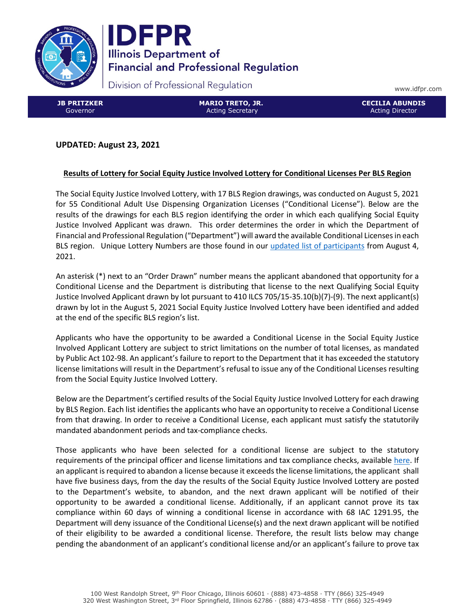



Division of Professional Regulation

www.idfpr.com

JB PRITZKER Governor

MARIO TRETO, JR. Acting Secretary

CECILIA ABUNDIS Acting Director

# UPDATED: August 23, 2021

### Results of Lottery for Social Equity Justice Involved Lottery for Conditional Licenses Per BLS Region

The Social Equity Justice Involved Lottery, with 17 BLS Region drawings, was conducted on August 5, 2021 for 55 Conditional Adult Use Dispensing Organization Licenses ("Conditional License"). Below are the results of the drawings for each BLS region identifying the order in which each qualifying Social Equity Justice Involved Applicant was drawn. This order determines the order in which the Department of Financial and Professional Regulation ("Department") will award the available Conditional Licenses in each BLS region. Unique Lottery Numbers are those found in our [updated list of participants f](https://www.idfpr.com/Forms/AUC/List%20of%20Participants%20in%20the%20Social%20Equity%20Justice%20Involved%20Lottery%208-4-2021.pdf)rom August 4, 2021.

An asterisk (\*) next to an "Order Drawn" number means the applicant abandoned that opportunity for a Conditional License and the Department is distributing that license to the next Qualifying Social Equity Justice Involved Applicant drawn by lot pursuant to 410 ILCS 705/15-35.10(b)(7)-(9). The next applicant(s) drawn by lot in the August 5, 2021 Social Equity Justice Involved Lottery have been identified and added at the end of the specific BLS region's list.

Applicants who have the opportunity to be awarded a Conditional License in the Social Equity Justice Involved Applicant Lottery are subject to strict limitations on the number of total licenses, as mandated by Public Act 102-98. An applicant's failure to report to the Department that it has exceeded the statutory license limitations will result in the Department's refusal to issue any of the Conditional Licenses resulting from the Social Equity Justice Involved Lottery.

Below are the Department's certified results of the Social Equity Justice Involved Lottery for each drawing by BLS Region. Each list identifies the applicants who have an opportunity to receive a Conditional License from that drawing. In order to receive a Conditional License, each applicant must satisfy the statutorily mandated abandonment periods and tax-compliance checks.

Those applicants who have been selected for a conditional license are subject to the statutory requirements of the principal officer and license limitations and tax compliance checks, available here. If an applicant is required to abandon a license because it exceeds the license limitations, the applicant shall have five business days, from the day the results of the Social Equity Justice Involved Lottery are posted to the Department's website, to abandon, and the next drawn applicant will be notified of their opportunity to be awarded a conditional license. Additionally, if an applicant cannot prove its tax compliance within 60 days of winning a conditional license in accordance with 68 IAC 1291.95, the Department will deny issuance of the Conditional License(s) and the next drawn applicant will be notified of their eligibility to be awarded a conditional license. Therefore, the result lists below may change pending the abandonment of an applicant's conditional license and/or an applicant's failure to prove tax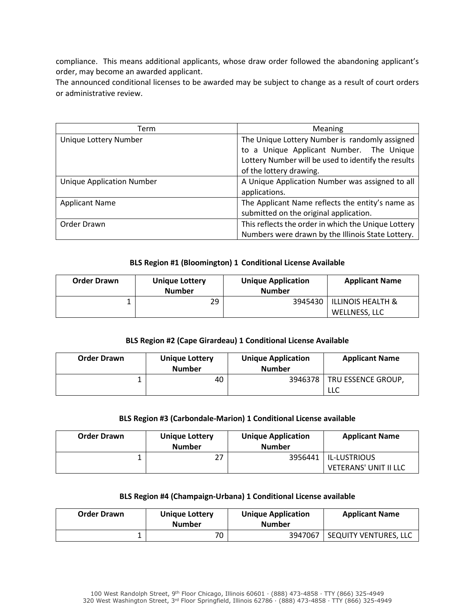compliance. This means additional applicants, whose draw order followed the abandoning applicant's order, may become an awarded applicant.

The announced conditional licenses to be awarded may be subject to change as a result of court orders or administrative review.

| Term                             | Meaning                                             |  |
|----------------------------------|-----------------------------------------------------|--|
| Unique Lottery Number            | The Unique Lottery Number is randomly assigned      |  |
|                                  | to a Unique Applicant Number. The Unique            |  |
|                                  | Lottery Number will be used to identify the results |  |
|                                  | of the lottery drawing.                             |  |
| <b>Unique Application Number</b> | A Unique Application Number was assigned to all     |  |
|                                  | applications.                                       |  |
| <b>Applicant Name</b>            | The Applicant Name reflects the entity's name as    |  |
|                                  | submitted on the original application.              |  |
| Order Drawn                      | This reflects the order in which the Unique Lottery |  |
|                                  | Numbers were drawn by the Illinois State Lottery.   |  |

### BLS Region #1 (Bloomington) 1 Conditional License Available

| <b>Order Drawn</b> | <b>Unique Lottery</b><br><b>Number</b> | <b>Unique Application</b><br><b>Number</b> | <b>Applicant Name</b>        |
|--------------------|----------------------------------------|--------------------------------------------|------------------------------|
|                    | 29                                     | 3945430                                    | <b>ILLINOIS HEALTH &amp;</b> |
|                    |                                        |                                            | WELLNESS, LLC                |

#### BLS Region #2 (Cape Girardeau) 1 Conditional License Available

| <b>Order Drawn</b> | <b>Unique Lottery</b><br><b>Number</b> | <b>Unique Application</b><br><b>Number</b> | <b>Applicant Name</b>     |
|--------------------|----------------------------------------|--------------------------------------------|---------------------------|
|                    | 40                                     | 3946378                                    | TRU ESSENCE GROUP,<br>LLC |

### BLS Region #3 (Carbondale-Marion) 1 Conditional License available

| <b>Order Drawn</b> | Unique Lottery<br><b>Number</b> | <b>Unique Application</b><br><b>Number</b> | <b>Applicant Name</b>  |
|--------------------|---------------------------------|--------------------------------------------|------------------------|
|                    | つフ                              |                                            | 3956441   IL-LUSTRIOUS |
|                    |                                 |                                            | VETERANS' UNIT II LLC  |

#### BLS Region #4 (Champaign-Urbana) 1 Conditional License available

| <b>Order Drawn</b> | <b>Unique Lottery</b><br><b>Number</b> | <b>Unique Application</b><br><b>Number</b> | <b>Applicant Name</b> |
|--------------------|----------------------------------------|--------------------------------------------|-----------------------|
|                    | 70                                     | 3947067                                    | SEQUITY VENTURES, LLC |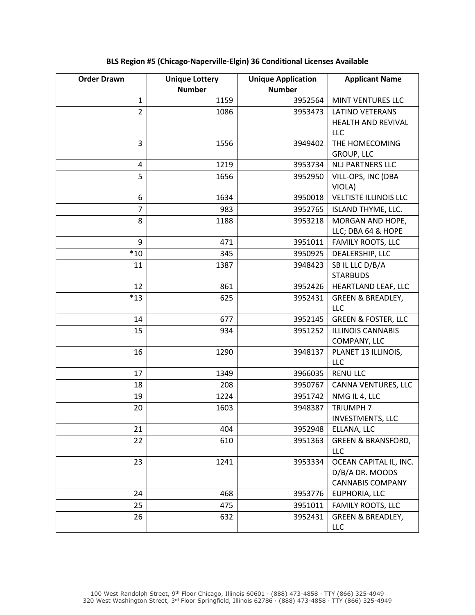| <b>Order Drawn</b> | <b>Unique Lottery</b><br><b>Number</b> | <b>Unique Application</b><br><b>Number</b> | <b>Applicant Name</b>                                                |
|--------------------|----------------------------------------|--------------------------------------------|----------------------------------------------------------------------|
| $\mathbf{1}$       | 1159                                   | 3952564                                    | MINT VENTURES LLC                                                    |
| $\overline{2}$     | 1086                                   | 3953473                                    | <b>LATINO VETERANS</b><br>HEALTH AND REVIVAL<br>LLC                  |
| 3                  | 1556                                   | 3949402                                    | THE HOMECOMING<br><b>GROUP, LLC</b>                                  |
| 4                  | 1219                                   | 3953734                                    | <b>NLJ PARTNERS LLC</b>                                              |
| 5                  | 1656                                   | 3952950                                    | VILL-OPS, INC (DBA<br>VIOLA)                                         |
| 6                  | 1634                                   | 3950018                                    | <b>VELTISTE ILLINOIS LLC</b>                                         |
| 7                  | 983                                    | 3952765                                    | ISLAND THYME, LLC.                                                   |
| 8                  | 1188                                   | 3953218                                    | MORGAN AND HOPE,<br>LLC; DBA 64 & HOPE                               |
| 9                  | 471                                    | 3951011                                    | FAMILY ROOTS, LLC                                                    |
| $*10$              | 345                                    | 3950925                                    | DEALERSHIP, LLC                                                      |
| 11                 | 1387                                   | 3948423                                    | SB IL LLC D/B/A<br><b>STARBUDS</b>                                   |
| 12                 | 861                                    | 3952426                                    | HEARTLAND LEAF, LLC                                                  |
| $*13$              | 625                                    | 3952431                                    | <b>GREEN &amp; BREADLEY,</b><br><b>LLC</b>                           |
| 14                 | 677                                    | 3952145                                    | <b>GREEN &amp; FOSTER, LLC</b>                                       |
| 15                 | 934                                    | 3951252                                    | <b>ILLINOIS CANNABIS</b><br>COMPANY, LLC                             |
| 16                 | 1290                                   | 3948137                                    | PLANET 13 ILLINOIS,<br><b>LLC</b>                                    |
| 17                 | 1349                                   | 3966035                                    | <b>RENU LLC</b>                                                      |
| 18                 | 208                                    | 3950767                                    | CANNA VENTURES, LLC                                                  |
| 19                 | 1224                                   | 3951742                                    | NMG IL 4, LLC                                                        |
| 20                 | 1603                                   | 3948387                                    | <b>TRIUMPH7</b><br>INVESTMENTS, LLC                                  |
| 21                 | 404                                    | 3952948                                    | ELLANA, LLC                                                          |
| 22                 | 610                                    | 3951363                                    | <b>GREEN &amp; BRANSFORD,</b><br><b>LLC</b>                          |
| 23                 | 1241                                   | 3953334                                    | OCEAN CAPITAL IL, INC.<br>D/B/A DR. MOODS<br><b>CANNABIS COMPANY</b> |
| 24                 | 468                                    | 3953776                                    | EUPHORIA, LLC                                                        |
| 25                 | 475                                    | 3951011                                    | <b>FAMILY ROOTS, LLC</b>                                             |
| 26                 | 632                                    | 3952431                                    | <b>GREEN &amp; BREADLEY,</b><br>LLC                                  |

# BLS Region #5 (Chicago-Naperville-Elgin) 36 Conditional Licenses Available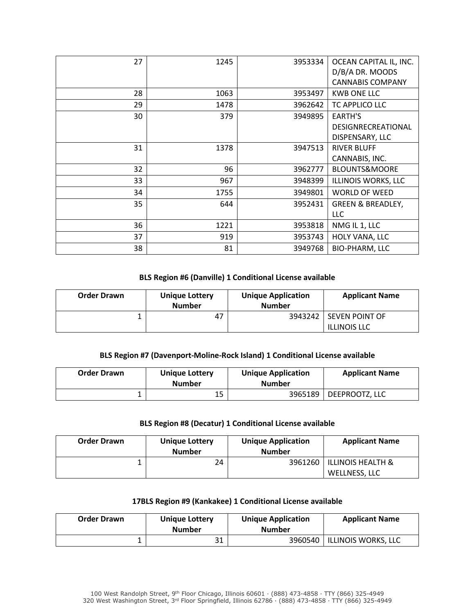| 27 | 1245 | 3953334 | OCEAN CAPITAL IL, INC.       |
|----|------|---------|------------------------------|
|    |      |         | D/B/A DR. MOODS              |
|    |      |         | <b>CANNABIS COMPANY</b>      |
| 28 | 1063 | 3953497 | <b>KWB ONE LLC</b>           |
| 29 | 1478 | 3962642 | TC APPLICO LLC               |
| 30 | 379  | 3949895 | <b>EARTH'S</b>               |
|    |      |         | DESIGNRECREATIONAL           |
|    |      |         | DISPENSARY, LLC              |
| 31 | 1378 | 3947513 | <b>RIVER BLUFF</b>           |
|    |      |         | CANNABIS, INC.               |
| 32 | 96   | 3962777 | <b>BLOUNTS&amp;MOORE</b>     |
| 33 | 967  | 3948399 | ILLINOIS WORKS, LLC          |
| 34 | 1755 | 3949801 | <b>WORLD OF WEED</b>         |
| 35 | 644  | 3952431 | <b>GREEN &amp; BREADLEY,</b> |
|    |      |         | LLC                          |
| 36 | 1221 | 3953818 | NMG IL 1, LLC                |
| 37 | 919  | 3953743 | HOLY VANA, LLC               |
| 38 | 81   | 3949768 | <b>BIO-PHARM, LLC</b>        |

#### BLS Region #6 (Danville) 1 Conditional License available

| <b>Order Drawn</b> | <b>Unique Lottery</b><br><b>Number</b> | <b>Unique Application</b><br><b>Number</b> | <b>Applicant Name</b>                         |
|--------------------|----------------------------------------|--------------------------------------------|-----------------------------------------------|
|                    | 47                                     |                                            | 3943242 SEVEN POINT OF<br><b>ILLINOIS LLC</b> |

## BLS Region #7 (Davenport-Moline-Rock Island) 1 Conditional License available

| <b>Order Drawn</b> | <b>Unique Lottery</b><br><b>Number</b> | <b>Unique Application</b><br><b>Number</b> | <b>Applicant Name</b> |
|--------------------|----------------------------------------|--------------------------------------------|-----------------------|
|                    | 15                                     | 3965189                                    | DEEPROOTZ, LLC        |

### BLS Region #8 (Decatur) 1 Conditional License available

| <b>Order Drawn</b> | <b>Unique Lottery</b><br><b>Number</b> | <b>Unique Application</b><br><b>Number</b> | <b>Applicant Name</b>              |
|--------------------|----------------------------------------|--------------------------------------------|------------------------------------|
|                    | 24                                     | 3961260                                    | ILLINOIS HEALTH &<br>WELLNESS, LLC |

## 17BLS Region #9 (Kankakee) 1 Conditional License available

| <b>Order Drawn</b> | <b>Unique Lottery</b><br><b>Number</b> | <b>Unique Application</b><br><b>Number</b> | <b>Applicant Name</b> |
|--------------------|----------------------------------------|--------------------------------------------|-----------------------|
|                    | <b>D</b> 1                             | 3960540                                    | ILLINOIS WORKS, LLC   |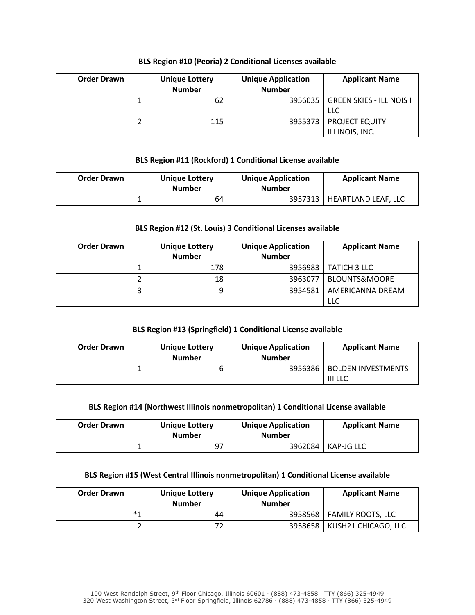### BLS Region #10 (Peoria) 2 Conditional Licenses available

| <b>Order Drawn</b> | <b>Unique Lottery</b><br><b>Number</b> | <b>Unique Application</b><br><b>Number</b> | <b>Applicant Name</b>                      |
|--------------------|----------------------------------------|--------------------------------------------|--------------------------------------------|
|                    | 62                                     | 3956035                                    | <b>GREEN SKIES - ILLINOIS I</b><br>LLC     |
|                    | 115                                    |                                            | 3955373   PROJECT EQUITY<br>ILLINOIS, INC. |

#### BLS Region #11 (Rockford) 1 Conditional License available

| <b>Order Drawn</b> | <b>Unique Lottery</b><br><b>Number</b> | <b>Unique Application</b><br><b>Number</b> | <b>Applicant Name</b> |
|--------------------|----------------------------------------|--------------------------------------------|-----------------------|
|                    | 64                                     | 3957313                                    | HEARTLAND LEAF, LLC   |

#### BLS Region #12 (St. Louis) 3 Conditional Licenses available

| <b>Order Drawn</b> | <b>Unique Lottery</b><br><b>Number</b> | <b>Unique Application</b><br><b>Number</b> | <b>Applicant Name</b>    |
|--------------------|----------------------------------------|--------------------------------------------|--------------------------|
|                    | 178                                    | 3956983                                    | TATICH 3 LLC             |
|                    | 18                                     | 3963077                                    | <b>BLOUNTS&amp;MOORE</b> |
|                    | 9                                      | 3954581                                    | AMERICANNA DREAM         |
|                    |                                        |                                            | <b>LLC</b>               |

### BLS Region #13 (Springfield) 1 Conditional License available

| <b>Order Drawn</b> | <b>Unique Lottery</b><br><b>Number</b> | <b>Unique Application</b><br><b>Number</b> | <b>Applicant Name</b>                |
|--------------------|----------------------------------------|--------------------------------------------|--------------------------------------|
|                    | b                                      | 3956386                                    | <b>BOLDEN INVESTMENTS</b><br>III LLC |

#### BLS Region #14 (Northwest Illinois nonmetropolitan) 1 Conditional License available

| <b>Order Drawn</b> | <b>Unique Lottery</b><br><b>Number</b> | <b>Unique Application</b><br><b>Number</b> | <b>Applicant Name</b> |
|--------------------|----------------------------------------|--------------------------------------------|-----------------------|
|                    | 97                                     | 3962084                                    | KAP-JG LLC            |

### BLS Region #15 (West Central Illinois nonmetropolitan) 1 Conditional License available

| <b>Order Drawn</b> | <b>Unique Lottery</b><br><b>Number</b> | <b>Unique Application</b><br><b>Number</b> | <b>Applicant Name</b>       |
|--------------------|----------------------------------------|--------------------------------------------|-----------------------------|
| $*1$               | 44                                     |                                            | 3958568   FAMILY ROOTS, LLC |
|                    | 72                                     | 3958658                                    | KUSH21 CHICAGO, LLC         |